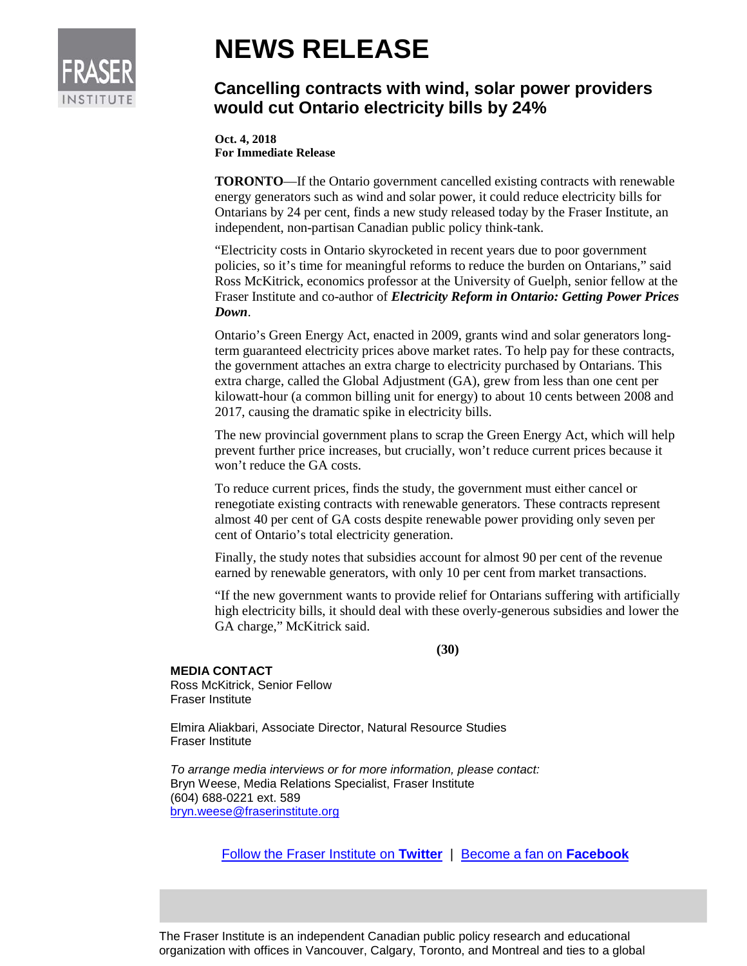

## **NEWS RELEASE**

## **Cancelling contracts with wind, solar power providers would cut Ontario electricity bills by 24%**

**Oct. 4, 2018 For Immediate Release**

**TORONTO**—If the Ontario government cancelled existing contracts with renewable energy generators such as wind and solar power, it could reduce electricity bills for Ontarians by 24 per cent, finds a new study released today by the Fraser Institute, an independent, non-partisan Canadian public policy think-tank.

"Electricity costs in Ontario skyrocketed in recent years due to poor government policies, so it's time for meaningful reforms to reduce the burden on Ontarians," said Ross McKitrick, economics professor at the University of Guelph, senior fellow at the Fraser Institute and co-author of *Electricity Reform in Ontario: Getting Power Prices Down*.

Ontario's Green Energy Act, enacted in 2009, grants wind and solar generators longterm guaranteed electricity prices above market rates. To help pay for these contracts, the government attaches an extra charge to electricity purchased by Ontarians. This extra charge, called the Global Adjustment (GA), grew from less than one cent per kilowatt-hour (a common billing unit for energy) to about 10 cents between 2008 and 2017, causing the dramatic spike in electricity bills.

The new provincial government plans to scrap the Green Energy Act, which will help prevent further price increases, but crucially, won't reduce current prices because it won't reduce the GA costs.

To reduce current prices, finds the study, the government must either cancel or renegotiate existing contracts with renewable generators. These contracts represent almost 40 per cent of GA costs despite renewable power providing only seven per cent of Ontario's total electricity generation.

Finally, the study notes that subsidies account for almost 90 per cent of the revenue earned by renewable generators, with only 10 per cent from market transactions.

"If the new government wants to provide relief for Ontarians suffering with artificially high electricity bills, it should deal with these overly-generous subsidies and lower the GA charge," McKitrick said.

**(30)**

## **MEDIA CONTACT**

Ross McKitrick, Senior Fellow Fraser Institute

Elmira Aliakbari, Associate Director, Natural Resource Studies Fraser Institute

*To arrange media interviews or for more information, please contact:* Bryn Weese, Media Relations Specialist, Fraser Institute (604) 688-0221 ext. 589 [bryn.weese@fraserinstitute.org](mailto:bryn.weese@fraserinstitute.org)

[Follow the Fraser Institute on](http://www.twitter.com/FraserInstitute) **Twitter** |[Become a fan on](http://www.facebook.com/FraserInstitute) **Facebook**

The Fraser Institute is an independent Canadian public policy research and educational organization with offices in Vancouver, Calgary, Toronto, and Montreal and ties to a global